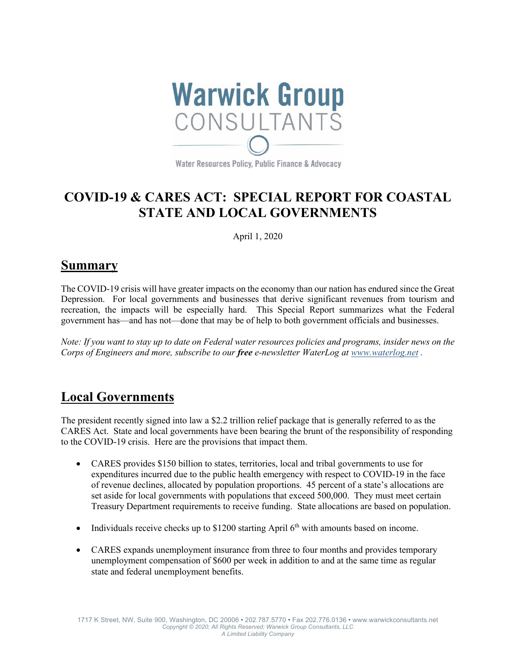

Water Resources Policy, Public Finance & Advocacy

# **COVID-19 & CARES ACT: SPECIAL REPORT FOR COASTAL STATE AND LOCAL GOVERNMENTS**

April 1, 2020

## **Summary**

The COVID-19 crisis will have greater impacts on the economy than our nation has endured since the Great Depression. For local governments and businesses that derive significant revenues from tourism and recreation, the impacts will be especially hard. This Special Report summarizes what the Federal government has—and has not—done that may be of help to both government officials and businesses.

*Note: If you want to stay up to date on Federal water resources policies and programs, insider news on the Corps of Engineers and more, subscribe to our free e-newsletter WaterLog at www.waterlog.net .*

# **Local Governments**

The president recently signed into law a \$2.2 trillion relief package that is generally referred to as the CARES Act. State and local governments have been bearing the brunt of the responsibility of responding to the COVID-19 crisis. Here are the provisions that impact them.

- CARES provides \$150 billion to states, territories, local and tribal governments to use for expenditures incurred due to the public health emergency with respect to COVID-19 in the face of revenue declines, allocated by population proportions. 45 percent of a state's allocations are set aside for local governments with populations that exceed 500,000. They must meet certain Treasury Department requirements to receive funding. State allocations are based on population.
- Individuals receive checks up to \$1200 starting April  $6<sup>th</sup>$  with amounts based on income.
- CARES expands unemployment insurance from three to four months and provides temporary unemployment compensation of \$600 per week in addition to and at the same time as regular state and federal unemployment benefits.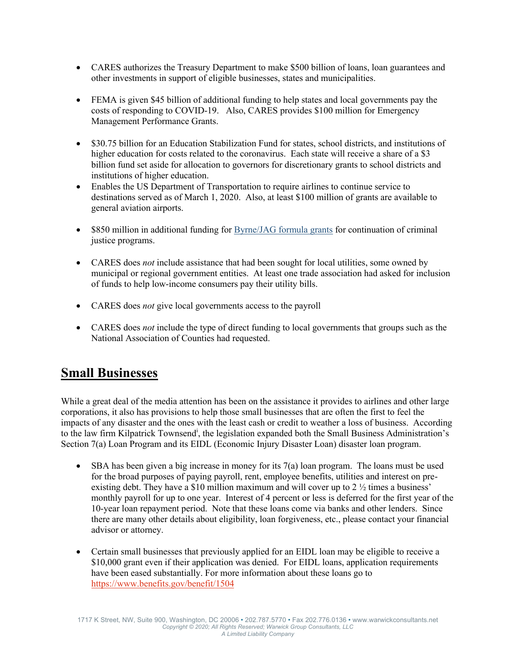- CARES authorizes the Treasury Department to make \$500 billion of loans, loan guarantees and other investments in support of eligible businesses, states and municipalities.
- FEMA is given \$45 billion of additional funding to help states and local governments pay the costs of responding to COVID-19. Also, CARES provides \$100 million for Emergency Management Performance Grants.
- \$30.75 billion for an Education Stabilization Fund for states, school districts, and institutions of higher education for costs related to the coronavirus. Each state will receive a share of a \$3 billion fund set aside for allocation to governors for discretionary grants to school districts and institutions of higher education.
- Enables the US Department of Transportation to require airlines to continue service to destinations served as of March 1, 2020. Also, at least \$100 million of grants are available to general aviation airports.
- \$850 million in additional funding for **Byrne/JAG** formula grants for continuation of criminal justice programs.
- CARES does *not* include assistance that had been sought for local utilities, some owned by municipal or regional government entities. At least one trade association had asked for inclusion of funds to help low-income consumers pay their utility bills.
- CARES does *not* give local governments access to the payroll
- CARES does *not* include the type of direct funding to local governments that groups such as the National Association of Counties had requested.

## **Small Businesses**

While a great deal of the media attention has been on the assistance it provides to airlines and other large corporations, it also has provisions to help those small businesses that are often the first to feel the impacts of any disaster and the ones with the least cash or credit to weather a loss of business. According to the law firm Kilpatrick Townsend<sup>i</sup>, the legislation expanded both the Small Business Administration's Section 7(a) Loan Program and its EIDL (Economic Injury Disaster Loan) disaster loan program.

- SBA has been given a big increase in money for its 7(a) loan program. The loans must be used for the broad purposes of paying payroll, rent, employee benefits, utilities and interest on preexisting debt. They have a \$10 million maximum and will cover up to 2  $\frac{1}{2}$  times a business' monthly payroll for up to one year. Interest of 4 percent or less is deferred for the first year of the 10-year loan repayment period. Note that these loans come via banks and other lenders. Since there are many other details about eligibility, loan forgiveness, etc., please contact your financial advisor or attorney.
- Certain small businesses that previously applied for an EIDL loan may be eligible to receive a \$10,000 grant even if their application was denied. For EIDL loans, application requirements have been eased substantially. For more information about these loans go to https://www.benefits.gov/benefit/1504